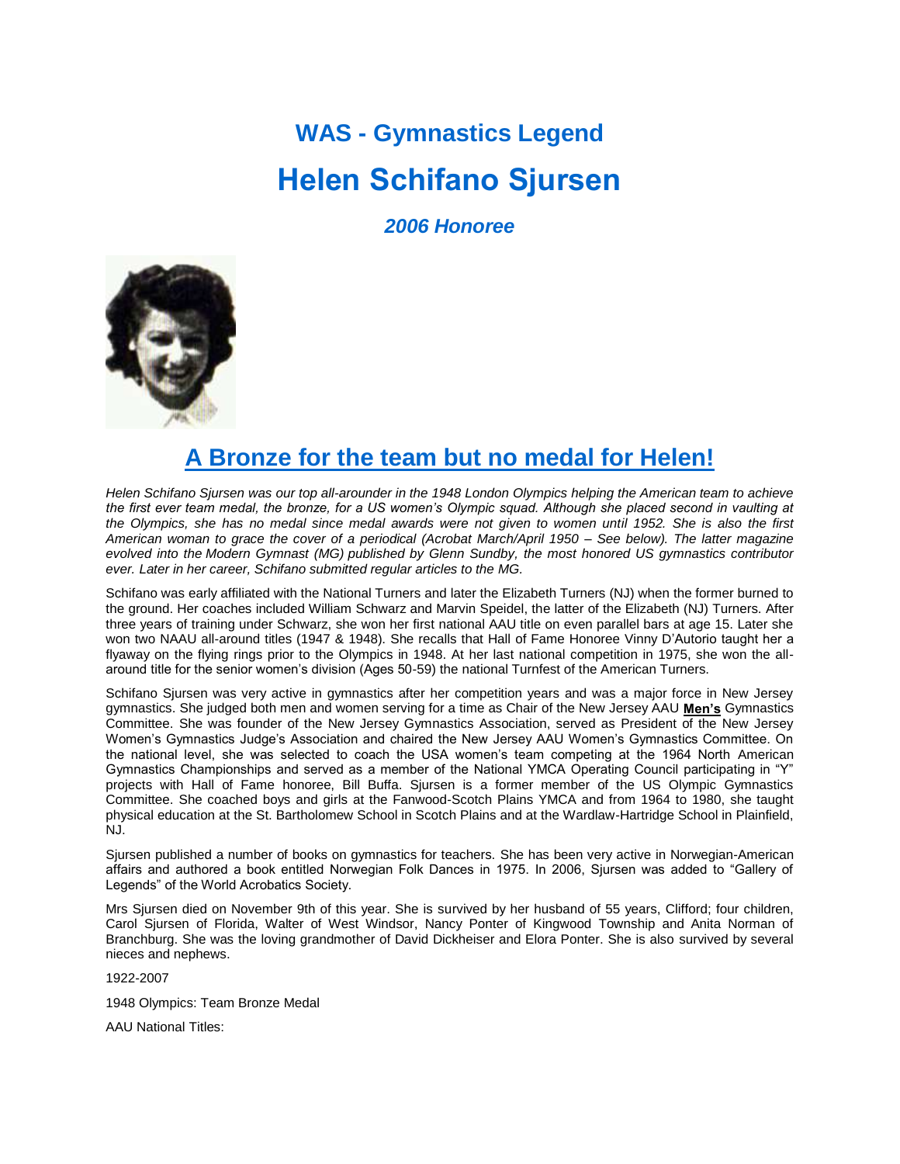## **WAS - Gymnastics Legend Helen Schifano Sjursen**

*2006 Honoree*



## **A Bronze for the team but no medal for Helen!**

*Helen Schifano Sjursen was our top all-arounder in the 1948 London Olympics helping the American team to achieve the first ever team medal, the bronze, for a US women's Olympic squad. Although she placed second in vaulting at the Olympics, she has no medal since medal awards were not given to women until 1952. She is also the first American woman to grace the cover of a periodical (Acrobat March/April 1950 – See below). The latter magazine evolved into the Modern Gymnast (MG) published by Glenn Sundby, the most honored US gymnastics contributor ever. Later in her career, Schifano submitted regular articles to the MG.*

Schifano was early affiliated with the National Turners and later the Elizabeth Turners (NJ) when the former burned to the ground. Her coaches included William Schwarz and Marvin Speidel, the latter of the Elizabeth (NJ) Turners. After three years of training under Schwarz, she won her first national AAU title on even parallel bars at age 15. Later she won two NAAU all-around titles (1947 & 1948). She recalls that Hall of Fame Honoree Vinny D'Autorio taught her a flyaway on the flying rings prior to the Olympics in 1948. At her last national competition in 1975, she won the allaround title for the senior women's division (Ages 50-59) the national Turnfest of the American Turners.

Schifano Sjursen was very active in gymnastics after her competition years and was a major force in New Jersey gymnastics. She judged both men and women serving for a time as Chair of the New Jersey AAU **Men's** Gymnastics Committee. She was founder of the New Jersey Gymnastics Association, served as President of the New Jersey Women's Gymnastics Judge's Association and chaired the New Jersey AAU Women's Gymnastics Committee. On the national level, she was selected to coach the USA women's team competing at the 1964 North American Gymnastics Championships and served as a member of the National YMCA Operating Council participating in "Y" projects with Hall of Fame honoree, Bill Buffa. Sjursen is a former member of the US Olympic Gymnastics Committee. She coached boys and girls at the Fanwood-Scotch Plains YMCA and from 1964 to 1980, she taught physical education at the St. Bartholomew School in Scotch Plains and at the Wardlaw-Hartridge School in Plainfield, NJ.

Sjursen published a number of books on gymnastics for teachers. She has been very active in Norwegian-American affairs and authored a book entitled Norwegian Folk Dances in 1975. In 2006, Sjursen was added to "Gallery of Legends" of the World Acrobatics Society.

Mrs Sjursen died on November 9th of this year. She is survived by her husband of 55 years, Clifford; four children, Carol Sjursen of Florida, Walter of West Windsor, Nancy Ponter of Kingwood Township and Anita Norman of Branchburg. She was the loving grandmother of David Dickheiser and Elora Ponter. She is also survived by several nieces and nephews.

1922-2007

1948 Olympics: Team Bronze Medal

AAU National Titles: